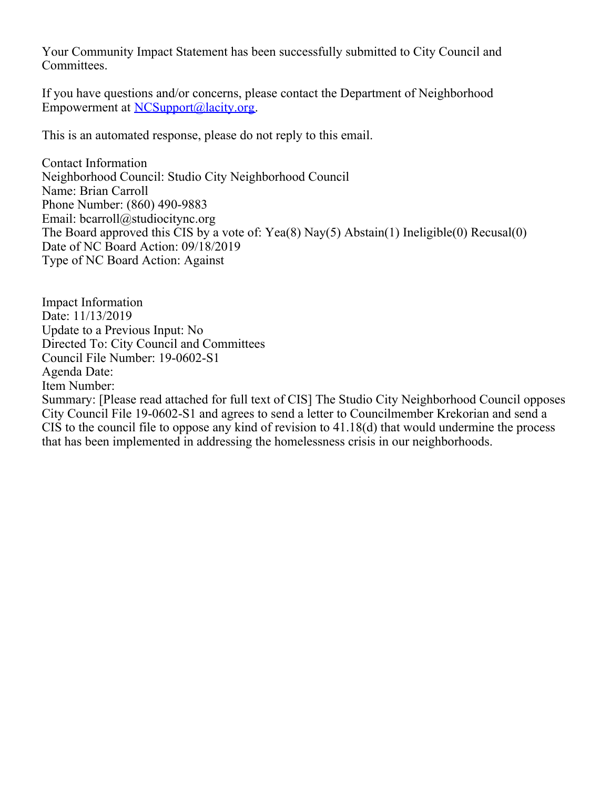Your Community Impact Statement has been successfully submitted to City Council and Committees.

If you have questions and/or concerns, please contact the Department of Neighborhood Empowerment at [NCSupport@lacity.org](mailto:NCSupport@lacity.org).

This is an automated response, please do not reply to this email.

Contact Information Neighborhood Council: Studio City Neighborhood Council Name: Brian Carroll Phone Number: (860) 490-9883 Email: bcarroll@studiocitync.org The Board approved this CIS by a vote of: Yea(8) Nay(5) Abstain(1) Ineligible(0) Recusal(0) Date of NC Board Action: 09/18/2019 Type of NC Board Action: Against

Impact Information Date: 11/13/2019 Update to a Previous Input: No Directed To: City Council and Committees Council File Number: 19-0602-S1 Agenda Date: Item Number: Summary: [Please read attached for full text of CIS] The Studio City Neighborhood Council opposes City Council File 19-0602-S1 and agrees to send a letter to Councilmember Krekorian and send a CIS to the council file to oppose any kind of revision to 41.18(d) that would undermine the process that has been implemented in addressing the homelessness crisis in our neighborhoods.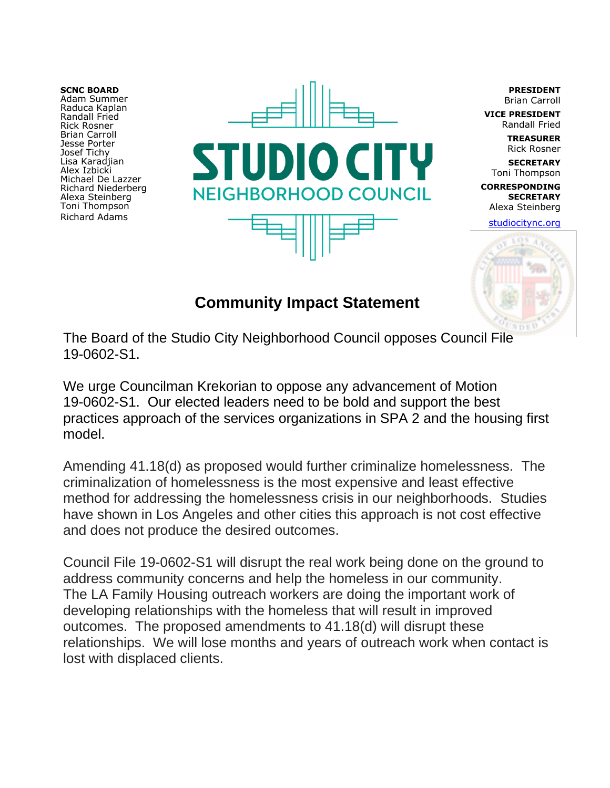**SCNC BOARD** Adam Summer Raduca Kaplan Randall Fried Rick Rosner Brian Carroll Jesse Porter Josef Tichy Lisa Karadjian Alex Izbicki Michael De Lazzer Richard Niederberg Alexa Steinberg Toni Thompson Richard Adams



**PRESIDENT** Brian Carroll

**VICE PRESIDENT** Randall Fried

**TREASURER** Rick Rosner

**SECRETARY** Toni Thompson **CORRESPONDING SECRETARY**

Alexa Steinberg studiocitync.org



## **Community Impact Statement**

The Board of the Studio City Neighborhood Council opposes Council File 19-0602-S1.

We urge Councilman Krekorian to oppose any advancement of Motion 19-0602-S1. Our elected leaders need to be bold and support the best practices approach of the services organizations in SPA 2 and the housing first model.

Amending 41.18(d) as proposed would further criminalize homelessness. The criminalization of homelessness is the most expensive and least effective method for addressing the homelessness crisis in our neighborhoods. Studies have shown in Los Angeles and other cities this approach is not cost effective and does not produce the desired outcomes.

Council File 19-0602-S1 will disrupt the real work being done on the ground to address community concerns and help the homeless in our community. The LA Family Housing outreach workers are doing the important work of developing relationships with the homeless that will result in improved outcomes. The proposed amendments to 41.18(d) will disrupt these relationships. We will lose months and years of outreach work when contact is lost with displaced clients.